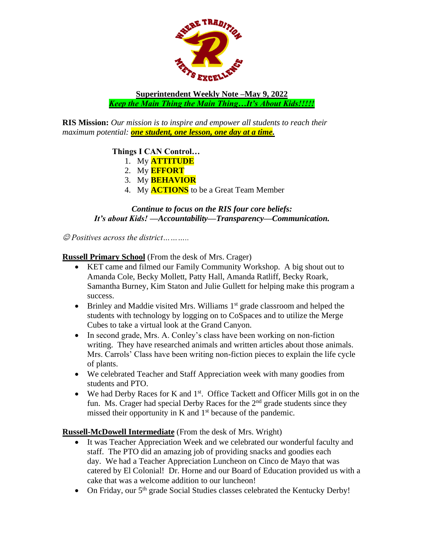

**Superintendent Weekly Note –May 9, 2022** *Keep the Main Thing the Main Thing…It's About Kids!!!!!*

**RIS Mission:** *Our mission is to inspire and empower all students to reach their maximum potential: one student, one lesson, one day at a time.*

## **Things I CAN Control…**

- 1. My **ATTITUDE**
- 2. My **EFFORT**
- 3. My **BEHAVIOR**
- 4. My **ACTIONS** to be a Great Team Member

## *Continue to focus on the RIS four core beliefs: It's about Kids! —Accountability—Transparency—Communication.*

☺ *Positives across the district………..*

**Russell Primary School** (From the desk of Mrs. Crager)

- KET came and filmed our Family Community Workshop. A big shout out to Amanda Cole, Becky Mollett, Patty Hall, Amanda Ratliff, Becky Roark, Samantha Burney, Kim Staton and Julie Gullett for helping make this program a success.
- Brinley and Maddie visited Mrs. Williams  $1<sup>st</sup>$  grade classroom and helped the students with technology by logging on to CoSpaces and to utilize the Merge Cubes to take a virtual look at the Grand Canyon.
- In second grade, Mrs. A. Conley's class have been working on non-fiction writing. They have researched animals and written articles about those animals. Mrs. Carrols' Class have been writing non-fiction pieces to explain the life cycle of plants.
- We celebrated Teacher and Staff Appreciation week with many goodies from students and PTO.
- We had Derby Races for K and  $1<sup>st</sup>$ . Office Tackett and Officer Mills got in on the fun. Ms. Crager had special Derby Races for the  $2<sup>nd</sup>$  grade students since they missed their opportunity in K and  $1<sup>st</sup>$  because of the pandemic.

**Russell-McDowell Intermediate** (From the desk of Mrs. Wright)

- It was Teacher Appreciation Week and we celebrated our wonderful faculty and staff. The PTO did an amazing job of providing snacks and goodies each day. We had a Teacher Appreciation Luncheon on Cinco de Mayo that was catered by El Colonial! Dr. Horne and our Board of Education provided us with a cake that was a welcome addition to our luncheon!
- On Friday, our 5<sup>th</sup> grade Social Studies classes celebrated the Kentucky Derby!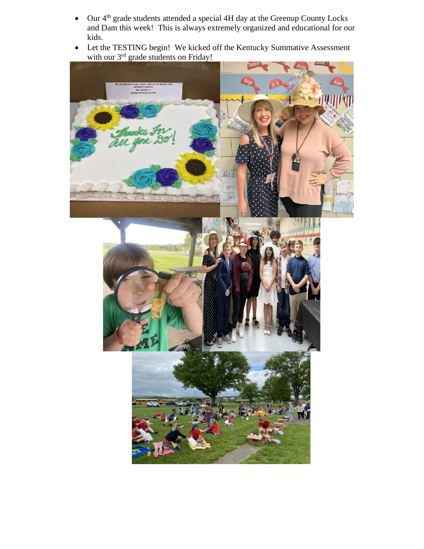- Our 4<sup>th</sup> grade students attended a special 4H day at the Greenup County Locks and Dam this week! This is always extremely organized and educational for our kids.
- Let the TESTING begin! We kicked off the Kentucky Summative Assessment with our 3<sup>rd</sup> grade students on Friday!

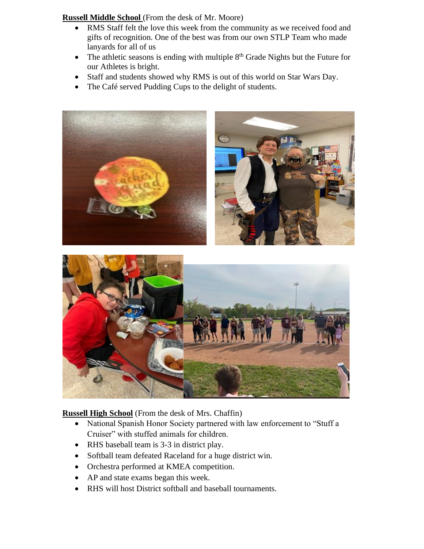**Russell Middle School** (From the desk of Mr. Moore)

- RMS Staff felt the love this week from the community as we received food and gifts of recognition. One of the best was from our own STLP Team who made lanyards for all of us
- The athletic seasons is ending with multiple  $8<sup>th</sup>$  Grade Nights but the Future for our Athletes is bright.
- Staff and students showed why RMS is out of this world on Star Wars Day.
- The Café served Pudding Cups to the delight of students.



## **Russell High School** (From the desk of Mrs. Chaffin)

- National Spanish Honor Society partnered with law enforcement to "Stuff a Cruiser" with stuffed animals for children.
- RHS baseball team is 3-3 in district play.
- Softball team defeated Raceland for a huge district win.
- Orchestra performed at KMEA competition.
- AP and state exams began this week.
- RHS will host District softball and baseball tournaments.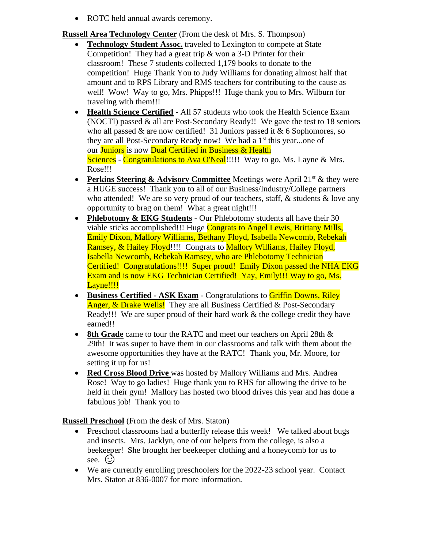• ROTC held annual awards ceremony.

**Russell Area Technology Center** (From the desk of Mrs. S. Thompson)

- **Technology Student Assoc.** traveled to Lexington to compete at State Competition! They had a great trip & won a 3-D Printer for their classroom! These 7 students collected 1,179 books to donate to the competition! Huge Thank You to Judy Williams for donating almost half that amount and to RPS Library and RMS teachers for contributing to the cause as well! Wow! Way to go, Mrs. Phipps!!! Huge thank you to Mrs. Wilburn for traveling with them!!!
- **Health Science Certified** All 57 students who took the Health Science Exam (NOCTI) passed  $\&$  all are Post-Secondary Ready!! We gave the test to 18 seniors who all passed  $\&$  are now certified! 31 Juniors passed it  $\&$  6 Sophomores, so they are all Post-Secondary Ready now! We had a 1<sup>st</sup> this year...one of our Juniors is now Dual Certified in Business & Health Sciences - Congratulations to Ava O'Neal!!!!! Way to go, Ms. Layne & Mrs. Rose!!!
- **Perkins Steering & Advisory Committee** Meetings were April 21<sup>st</sup> & they were a HUGE success! Thank you to all of our Business/Industry/College partners who attended! We are so very proud of our teachers, staff,  $&$  students  $&$  love any opportunity to brag on them! What a great night!!!
- **Phlebotomy & EKG Students** Our Phlebotomy students all have their 30 viable sticks accomplished!!! Huge Congrats to Angel Lewis, Brittany Mills, Emily Dixon, Mallory Williams, Bethany Floyd, Isabella Newcomb, Rebekah Ramsey, & Hailey Floyd!!!! Congrats to Mallory Williams, Hailey Floyd, Isabella Newcomb, Rebekah Ramsey, who are Phlebotomy Technician Certified! Congratulations!!!! Super proud! Emily Dixon passed the NHA EKG Exam and is now EKG Technician Certified! Yay, Emily!!! Way to go, Ms. Layne!!!!
- **Business Certified - ASK Exam** Congratulations to Griffin Downs, Riley Anger, & Drake Wells! They are all Business Certified & Post-Secondary Ready!!! We are super proud of their hard work & the college credit they have earned!!
- **8th Grade** came to tour the RATC and meet our teachers on April 28th  $\&$ 29th! It was super to have them in our classrooms and talk with them about the awesome opportunities they have at the RATC! Thank you, Mr. Moore, for setting it up for us!
- **Red Cross Blood Drive** was hosted by Mallory Williams and Mrs. Andrea Rose! Way to go ladies! Huge thank you to RHS for allowing the drive to be held in their gym! Mallory has hosted two blood drives this year and has done a fabulous job! Thank you to

**Russell Preschool** (From the desk of Mrs. Staton)

- Preschool classrooms had a butterfly release this week! We talked about bugs and insects. Mrs. Jacklyn, one of our helpers from the college, is also a beekeeper! She brought her beekeeper clothing and a honeycomb for us to see.  $\odot$
- We are currently enrolling preschoolers for the 2022-23 school year. Contact Mrs. Staton at 836-0007 for more information.